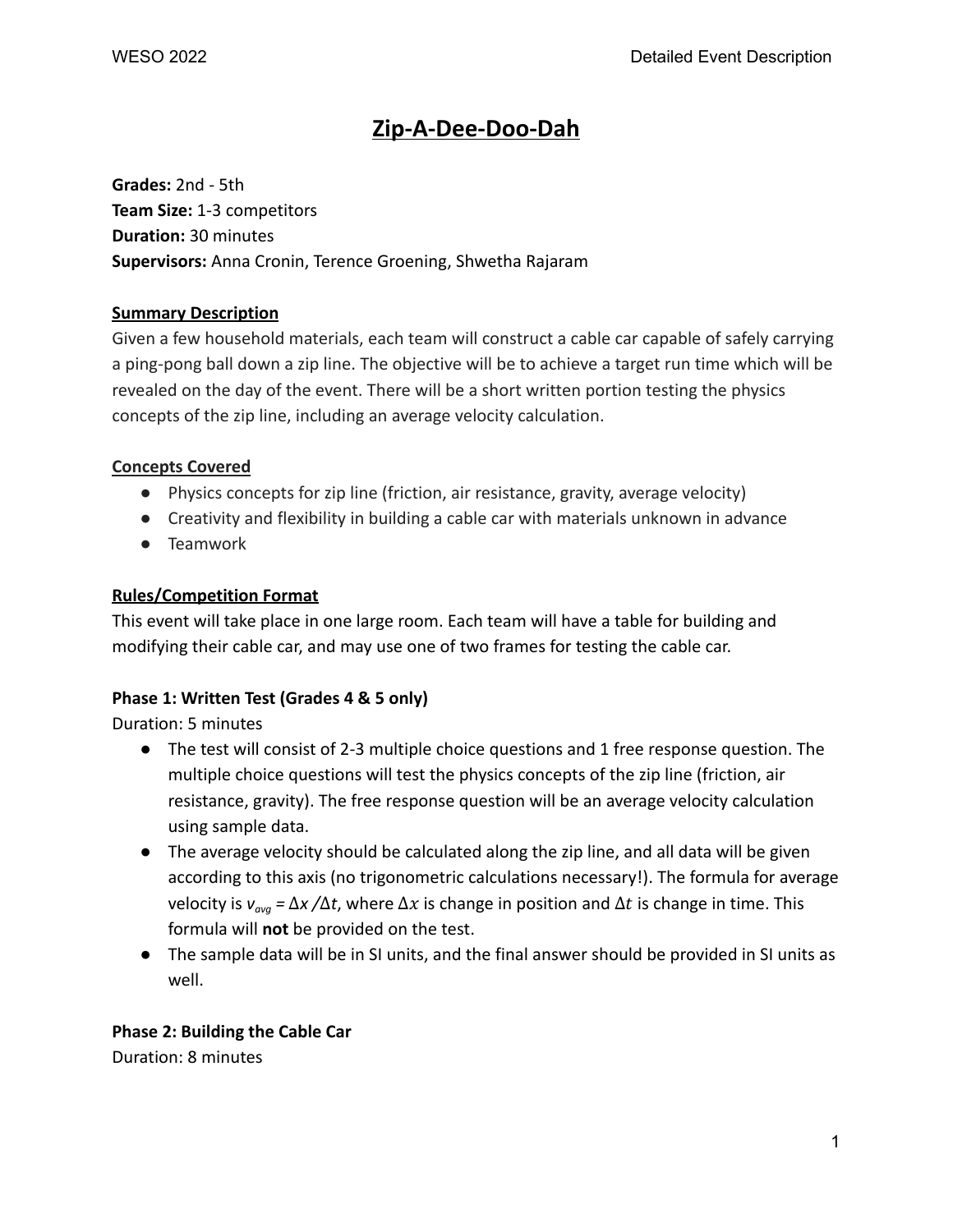# **Zip-A-Dee-Doo-Dah**

**Grades:** 2nd - 5th **Team Size:** 1-3 competitors **Duration:** 30 minutes **Supervisors:** Anna Cronin, Terence Groening, Shwetha Rajaram

## **Summary Description**

Given a few household materials, each team will construct a cable car capable of safely carrying a ping-pong ball down a zip line. The objective will be to achieve a target run time which will be revealed on the day of the event. There will be a short written portion testing the physics concepts of the zip line, including an average velocity calculation.

#### **Concepts Covered**

- Physics concepts for zip line (friction, air resistance, gravity, average velocity)
- Creativity and flexibility in building a cable car with materials unknown in advance
- Teamwork

## **Rules/Competition Format**

This event will take place in one large room. Each team will have a table for building and modifying their cable car, and may use one of two frames for testing the cable car.

# **Phase 1: Written Test (Grades 4 & 5 only)**

Duration: 5 minutes

- The test will consist of 2-3 multiple choice questions and 1 free response question. The multiple choice questions will test the physics concepts of the zip line (friction, air resistance, gravity). The free response question will be an average velocity calculation using sample data.
- The average velocity should be calculated along the zip line, and all data will be given according to this axis (no trigonometric calculations necessary!). The formula for average *velocity is*  $ν_{\text{av}q} = Δx/Δt$ *, where*  $Δx$  *is change in position and*  $Δt$  *is change in time. This* formula will **not** be provided on the test.
- The sample data will be in SI units, and the final answer should be provided in SI units as well.

# **Phase 2: Building the Cable Car**

Duration: 8 minutes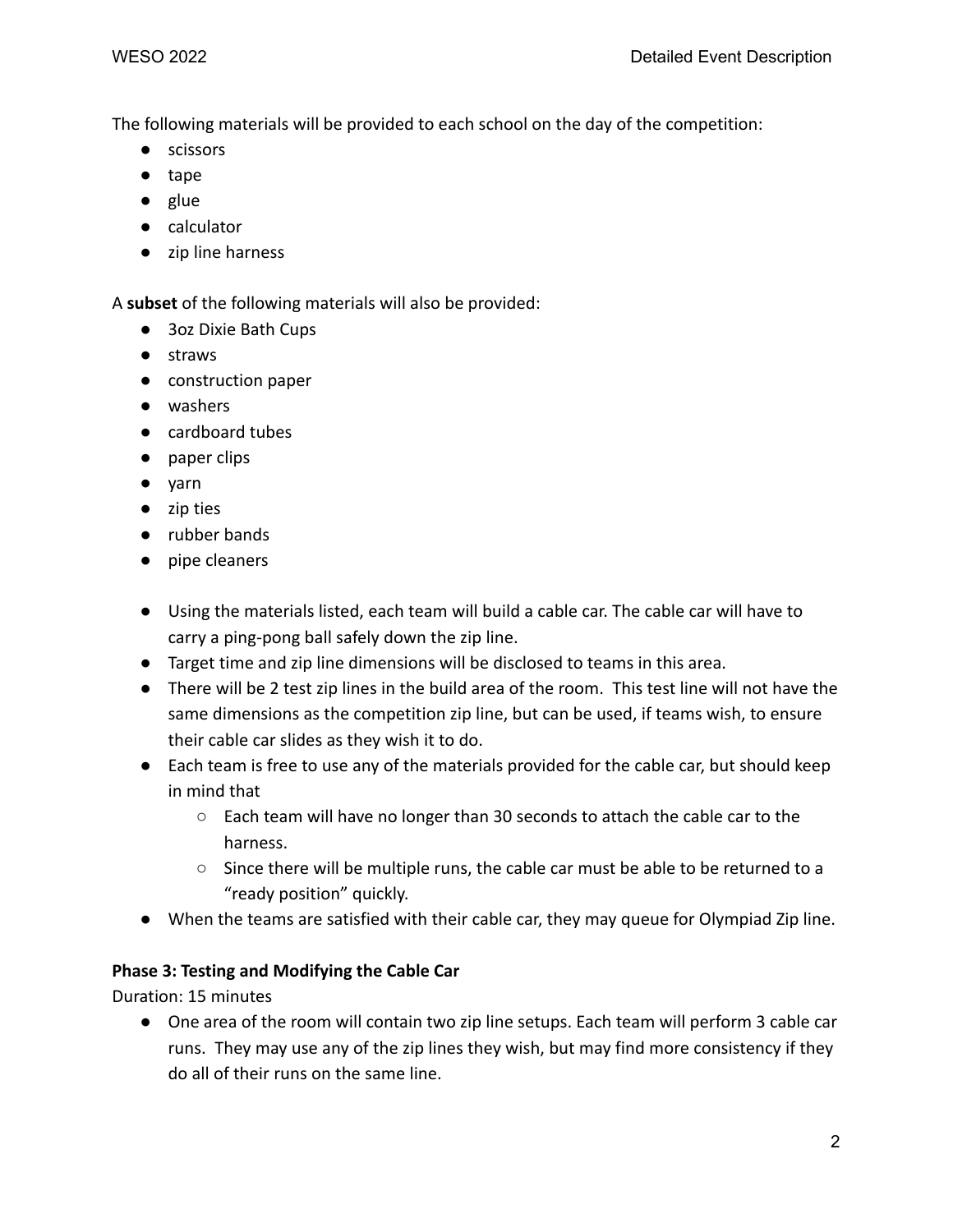The following materials will be provided to each school on the day of the competition:

- scissors
- tape
- glue
- calculator
- zip line harness

A **subset** of the following materials will also be provided:

- 3oz Dixie Bath Cups
- straws
- construction paper
- washers
- cardboard tubes
- paper clips
- yarn
- zip ties
- rubber bands
- pipe cleaners
- Using the materials listed, each team will build a cable car. The cable car will have to carry a ping-pong ball safely down the zip line.
- Target time and zip line dimensions will be disclosed to teams in this area.
- There will be 2 test zip lines in the build area of the room. This test line will not have the same dimensions as the competition zip line, but can be used, if teams wish, to ensure their cable car slides as they wish it to do.
- Each team is free to use any of the materials provided for the cable car, but should keep in mind that
	- Each team will have no longer than 30 seconds to attach the cable car to the harness.
	- Since there will be multiple runs, the cable car must be able to be returned to a "ready position" quickly.
- When the teams are satisfied with their cable car, they may queue for Olympiad Zip line.

#### **Phase 3: Testing and Modifying the Cable Car**

Duration: 15 minutes

● One area of the room will contain two zip line setups. Each team will perform 3 cable car runs. They may use any of the zip lines they wish, but may find more consistency if they do all of their runs on the same line.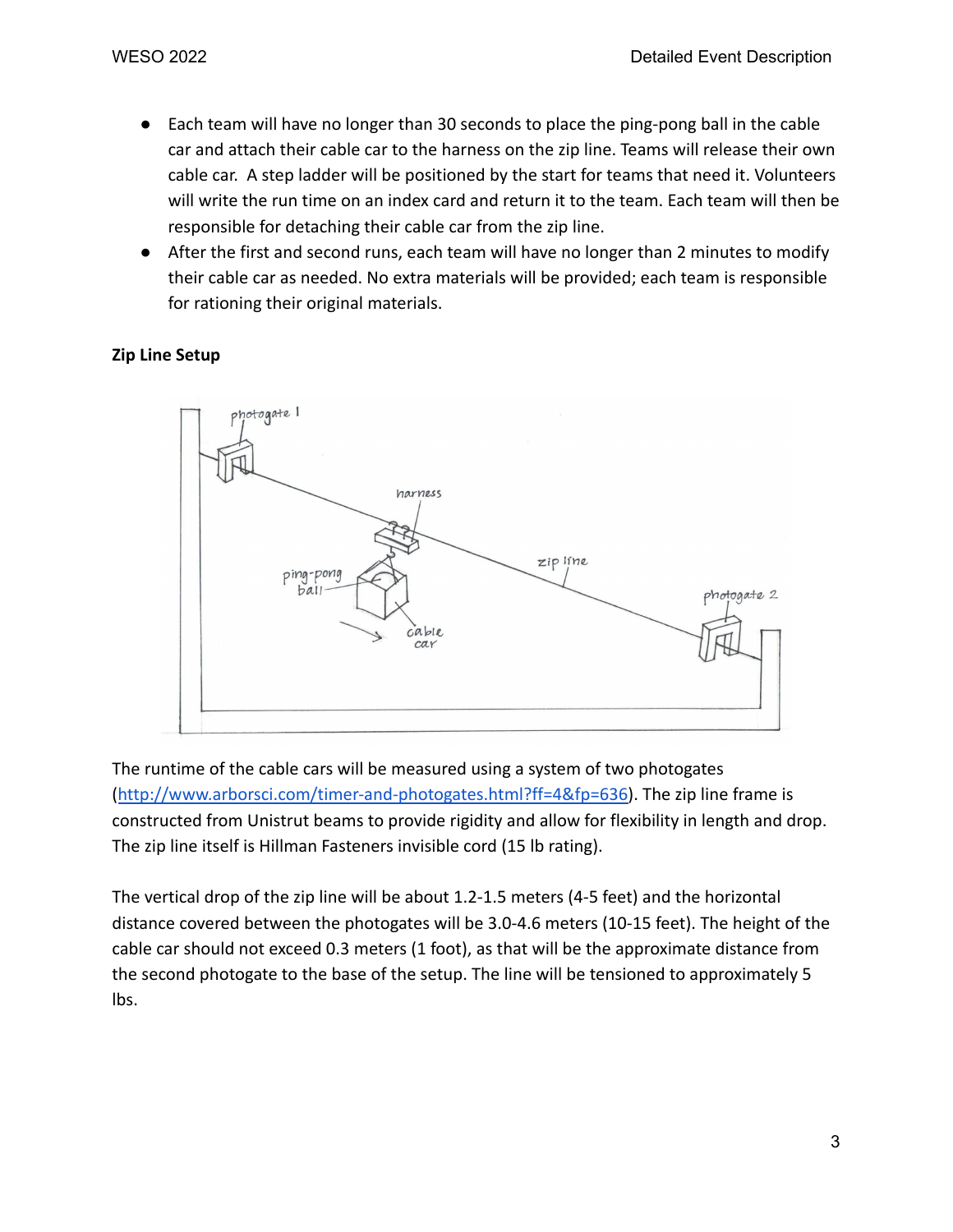- Each team will have no longer than 30 seconds to place the ping-pong ball in the cable car and attach their cable car to the harness on the zip line. Teams will release their own cable car. A step ladder will be positioned by the start for teams that need it. Volunteers will write the run time on an index card and return it to the team. Each team will then be responsible for detaching their cable car from the zip line.
- After the first and second runs, each team will have no longer than 2 minutes to modify their cable car as needed. No extra materials will be provided; each team is responsible for rationing their original materials.

## **Zip Line Setup**



The runtime of the cable cars will be measured using a system of two photogates ([http://www.arborsci.com/timer-and-photogates.html?ff=4&fp=636\)](http://www.arborsci.com/timer-and-photogates.html?ff=4&fp=636). The zip line frame is constructed from Unistrut beams to provide rigidity and allow for flexibility in length and drop. The zip line itself is Hillman Fasteners invisible cord (15 lb rating).

The vertical drop of the zip line will be about 1.2-1.5 meters (4-5 feet) and the horizontal distance covered between the photogates will be 3.0-4.6 meters (10-15 feet). The height of the cable car should not exceed 0.3 meters (1 foot), as that will be the approximate distance from the second photogate to the base of the setup. The line will be tensioned to approximately 5 lbs.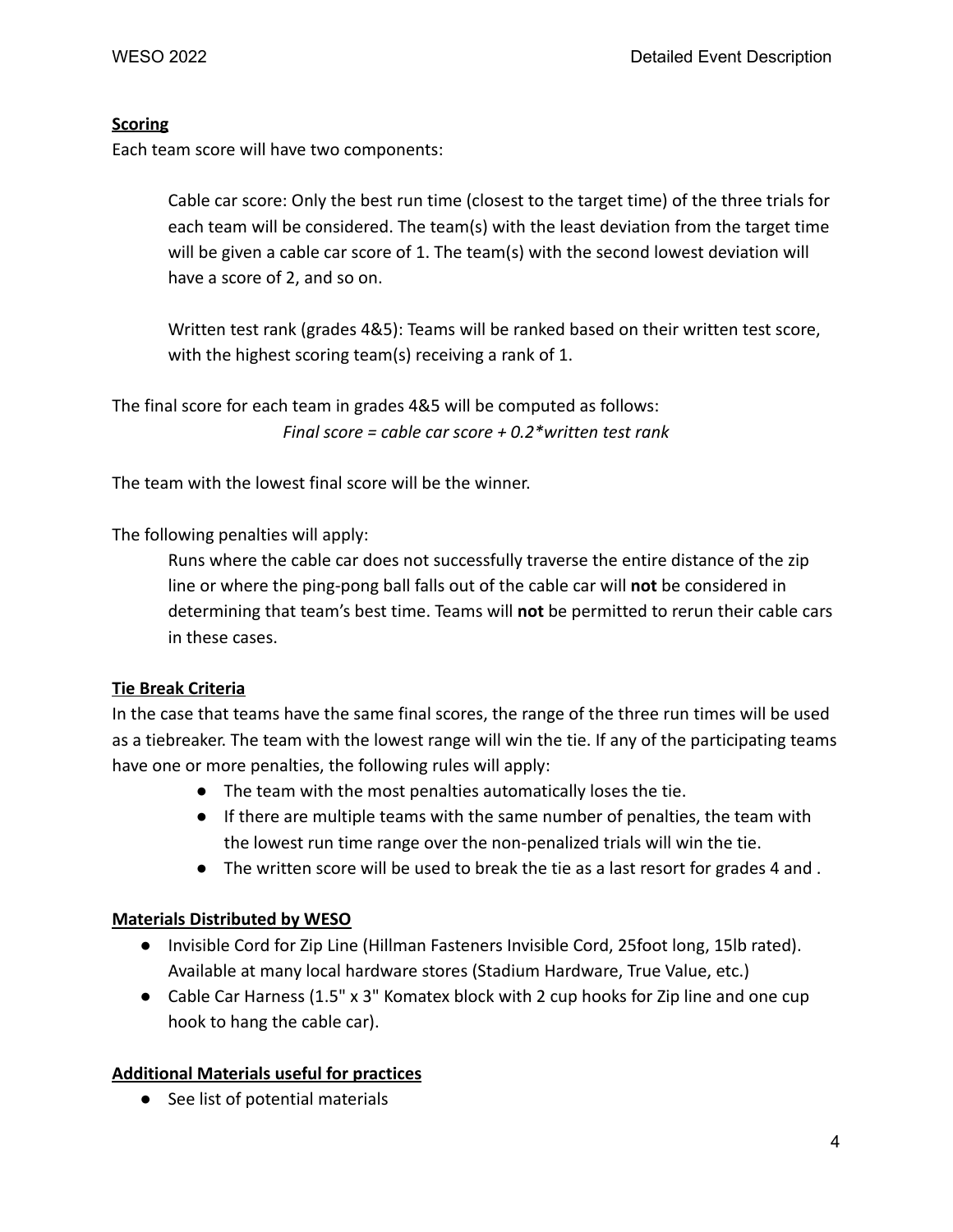## **Scoring**

Each team score will have two components:

Cable car score: Only the best run time (closest to the target time) of the three trials for each team will be considered. The team(s) with the least deviation from the target time will be given a cable car score of 1. The team(s) with the second lowest deviation will have a score of 2, and so on.

Written test rank (grades 4&5): Teams will be ranked based on their written test score, with the highest scoring team(s) receiving a rank of 1.

The final score for each team in grades 4&5 will be computed as follows: *Final score = cable car score + 0.2\*written test rank*

The team with the lowest final score will be the winner.

The following penalties will apply:

Runs where the cable car does not successfully traverse the entire distance of the zip line or where the ping-pong ball falls out of the cable car will **not** be considered in determining that team's best time. Teams will **not** be permitted to rerun their cable cars in these cases.

# **Tie Break Criteria**

In the case that teams have the same final scores, the range of the three run times will be used as a tiebreaker. The team with the lowest range will win the tie. If any of the participating teams have one or more penalties, the following rules will apply:

- The team with the most penalties automatically loses the tie.
- If there are multiple teams with the same number of penalties, the team with the lowest run time range over the non-penalized trials will win the tie.
- The written score will be used to break the tie as a last resort for grades 4 and .

# **Materials Distributed by WESO**

- Invisible Cord for Zip Line (Hillman Fasteners Invisible Cord, 25foot long, 15lb rated). Available at many local hardware stores (Stadium Hardware, True Value, etc.)
- Cable Car Harness (1.5" x 3" Komatex block with 2 cup hooks for Zip line and one cup hook to hang the cable car).

# **Additional Materials useful for practices**

● See list of potential materials